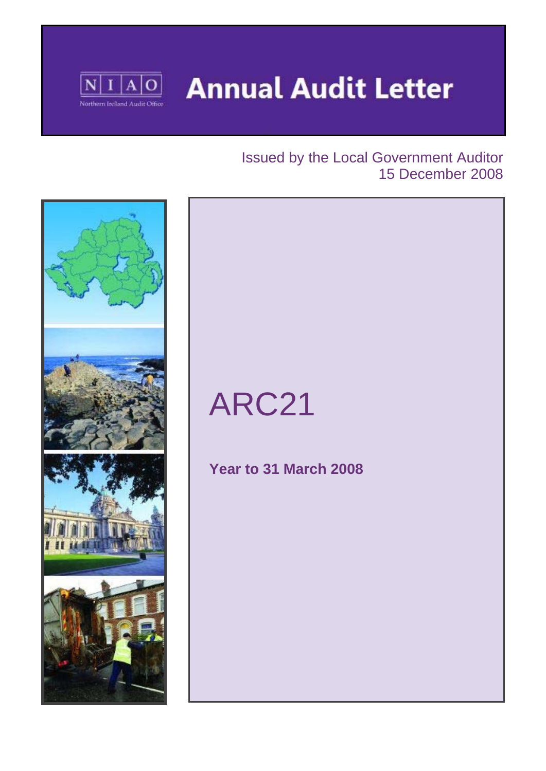

**Annual Audit Letter** 

## Issued by the Local Government Auditor 15 December 2008



# ARC21

## **Year to 31 March 2008**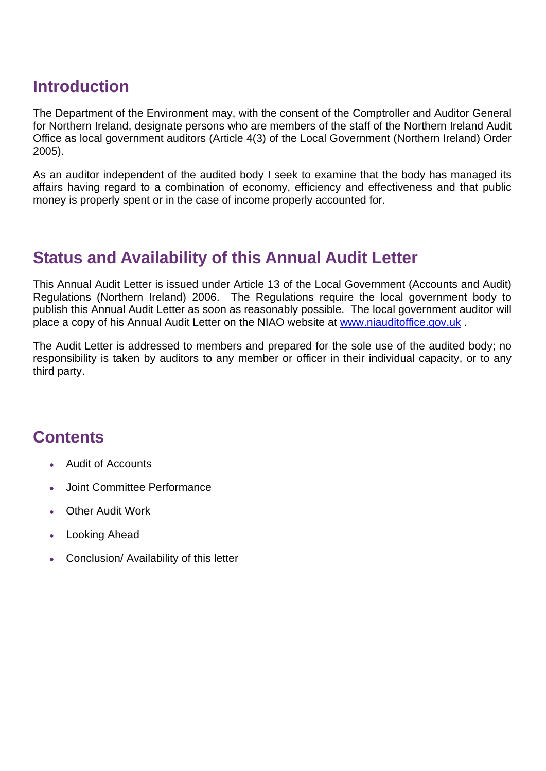## **Introduction**

The Department of the Environment may, with the consent of the Comptroller and Auditor General for Northern Ireland, designate persons who are members of the staff of the Northern Ireland Audit Office as local government auditors (Article 4(3) of the Local Government (Northern Ireland) Order 2005).

As an auditor independent of the audited body I seek to examine that the body has managed its affairs having regard to a combination of economy, efficiency and effectiveness and that public money is properly spent or in the case of income properly accounted for.

# **Status and Availability of this Annual Audit Letter**

This Annual Audit Letter is issued under Article 13 of the Local Government (Accounts and Audit) Regulations (Northern Ireland) 2006. The Regulations require the local government body to publish this Annual Audit Letter as soon as reasonably possible. The local government auditor will place a copy of his Annual Audit Letter on the NIAO website at www.niauditoffice.gov.uk .

The Audit Letter is addressed to members and prepared for the sole use of the audited body; no responsibility is taken by auditors to any member or officer in their individual capacity, or to any third party.

# **Contents**

- Audit of Accounts
- Joint Committee Performance
- Other Audit Work
- Looking Ahead
- Conclusion/ Availability of this letter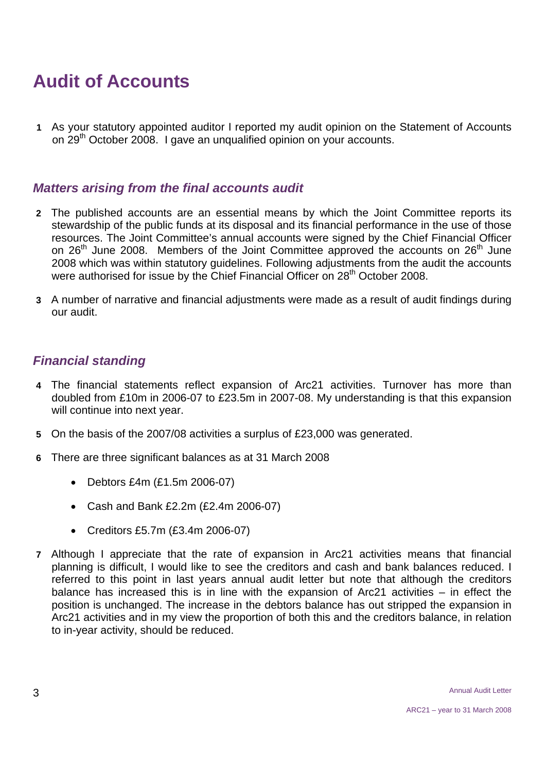# **Audit of Accounts**

**1** As your statutory appointed auditor I reported my audit opinion on the Statement of Accounts on 29<sup>th</sup> October 2008. I gave an unqualified opinion on your accounts.

#### *Matters arising from the final accounts audit*

- **2** The published accounts are an essential means by which the Joint Committee reports its stewardship of the public funds at its disposal and its financial performance in the use of those resources. The Joint Committee's annual accounts were signed by the Chief Financial Officer on  $26<sup>th</sup>$  June 2008. Members of the Joint Committee approved the accounts on  $26<sup>th</sup>$  June 2008 which was within statutory guidelines. Following adjustments from the audit the accounts were authorised for issue by the Chief Financial Officer on 28<sup>th</sup> October 2008.
- **3** A number of narrative and financial adjustments were made as a result of audit findings during our audit.

#### *Financial standing*

- **4** The financial statements reflect expansion of Arc21 activities. Turnover has more than doubled from £10m in 2006-07 to £23.5m in 2007-08. My understanding is that this expansion will continue into next year.
- **5** On the basis of the 2007/08 activities a surplus of £23,000 was generated.
- **6** There are three significant balances as at 31 March 2008
	- Debtors £4m (£1.5m 2006-07)
	- Cash and Bank £2.2m (£2.4m 2006-07)
	- Creditors £5.7m (£3.4m 2006-07)
- **7** Although I appreciate that the rate of expansion in Arc21 activities means that financial planning is difficult, I would like to see the creditors and cash and bank balances reduced. I referred to this point in last years annual audit letter but note that although the creditors balance has increased this is in line with the expansion of Arc21 activities – in effect the position is unchanged. The increase in the debtors balance has out stripped the expansion in Arc21 activities and in my view the proportion of both this and the creditors balance, in relation to in-year activity, should be reduced.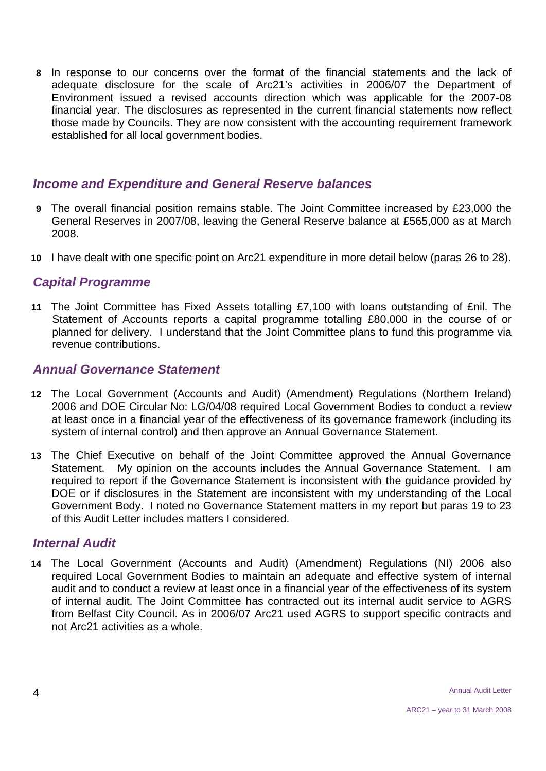**8** In response to our concerns over the format of the financial statements and the lack of adequate disclosure for the scale of Arc21's activities in 2006/07 the Department of Environment issued a revised accounts direction which was applicable for the 2007-08 financial year. The disclosures as represented in the current financial statements now reflect those made by Councils. They are now consistent with the accounting requirement framework established for all local government bodies.

#### *Income and Expenditure and General Reserve balances*

- **9** The overall financial position remains stable. The Joint Committee increased by £23,000 the General Reserves in 2007/08, leaving the General Reserve balance at £565,000 as at March 2008.
- **10** I have dealt with one specific point on Arc21 expenditure in more detail below (paras 26 to 28).

#### *Capital Programme*

**11** The Joint Committee has Fixed Assets totalling £7,100 with loans outstanding of £nil. The Statement of Accounts reports a capital programme totalling £80,000 in the course of or planned for delivery. I understand that the Joint Committee plans to fund this programme via revenue contributions.

#### *Annual Governance Statement*

- **12** The Local Government (Accounts and Audit) (Amendment) Regulations (Northern Ireland) 2006 and DOE Circular No: LG/04/08 required Local Government Bodies to conduct a review at least once in a financial year of the effectiveness of its governance framework (including its system of internal control) and then approve an Annual Governance Statement.
- **13** The Chief Executive on behalf of the Joint Committee approved the Annual Governance Statement. My opinion on the accounts includes the Annual Governance Statement. I am required to report if the Governance Statement is inconsistent with the guidance provided by DOE or if disclosures in the Statement are inconsistent with my understanding of the Local Government Body. I noted no Governance Statement matters in my report but paras 19 to 23 of this Audit Letter includes matters I considered.

#### *Internal Audit*

**14** The Local Government (Accounts and Audit) (Amendment) Regulations (NI) 2006 also required Local Government Bodies to maintain an adequate and effective system of internal audit and to conduct a review at least once in a financial year of the effectiveness of its system of internal audit. The Joint Committee has contracted out its internal audit service to AGRS from Belfast City Council. As in 2006/07 Arc21 used AGRS to support specific contracts and not Arc21 activities as a whole.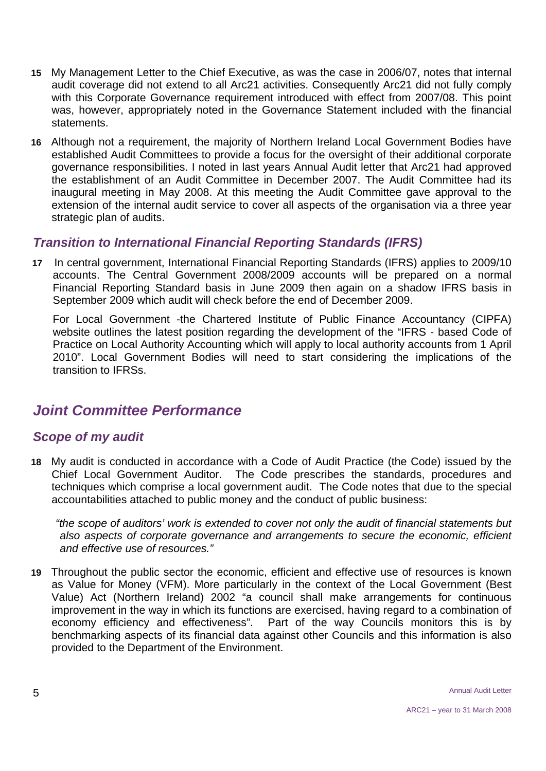- **15** My Management Letter to the Chief Executive, as was the case in 2006/07, notes that internal audit coverage did not extend to all Arc21 activities. Consequently Arc21 did not fully comply with this Corporate Governance requirement introduced with effect from 2007/08. This point was, however, appropriately noted in the Governance Statement included with the financial statements.
- **16** Although not a requirement, the majority of Northern Ireland Local Government Bodies have established Audit Committees to provide a focus for the oversight of their additional corporate governance responsibilities. I noted in last years Annual Audit letter that Arc21 had approved the establishment of an Audit Committee in December 2007. The Audit Committee had its inaugural meeting in May 2008. At this meeting the Audit Committee gave approval to the extension of the internal audit service to cover all aspects of the organisation via a three year strategic plan of audits.

#### *Transition to International Financial Reporting Standards (IFRS)*

**17** In central government, International Financial Reporting Standards (IFRS) applies to 2009/10 accounts. The Central Government 2008/2009 accounts will be prepared on a normal Financial Reporting Standard basis in June 2009 then again on a shadow IFRS basis in September 2009 which audit will check before the end of December 2009.

For Local Government -the Chartered Institute of Public Finance Accountancy (CIPFA) website outlines the latest position regarding the development of the "IFRS - based Code of Practice on Local Authority Accounting which will apply to local authority accounts from 1 April 2010". Local Government Bodies will need to start considering the implications of the transition to IFRSs.

### *Joint Committee Performance*

#### *Scope of my audit*

**18** My audit is conducted in accordance with a Code of Audit Practice (the Code) issued by the Chief Local Government Auditor. The Code prescribes the standards, procedures and techniques which comprise a local government audit. The Code notes that due to the special accountabilities attached to public money and the conduct of public business:

 *"the scope of auditors' work is extended to cover not only the audit of financial statements but also aspects of corporate governance and arrangements to secure the economic, efficient and effective use of resources."* 

**19** Throughout the public sector the economic, efficient and effective use of resources is known as Value for Money (VFM). More particularly in the context of the Local Government (Best Value) Act (Northern Ireland) 2002 "a council shall make arrangements for continuous improvement in the way in which its functions are exercised, having regard to a combination of economy efficiency and effectiveness". Part of the way Councils monitors this is by benchmarking aspects of its financial data against other Councils and this information is also provided to the Department of the Environment.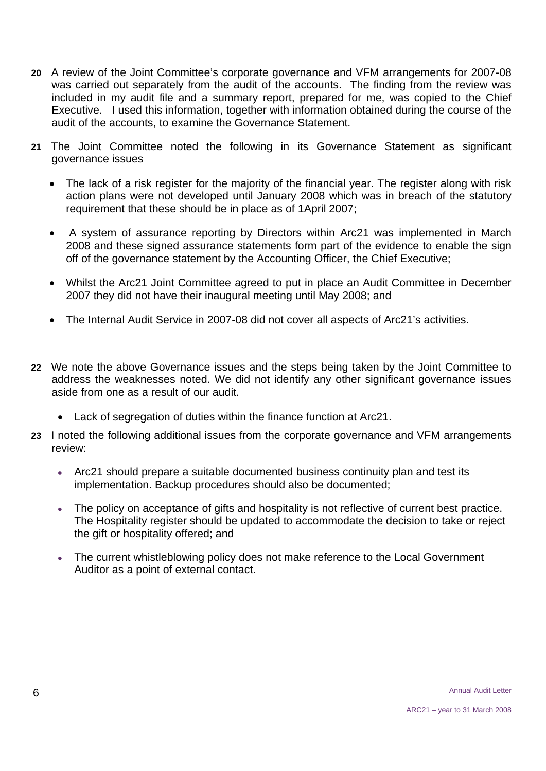- **20** A review of the Joint Committee's corporate governance and VFM arrangements for 2007-08 was carried out separately from the audit of the accounts. The finding from the review was included in my audit file and a summary report, prepared for me, was copied to the Chief Executive. I used this information, together with information obtained during the course of the audit of the accounts, to examine the Governance Statement.
- **21** The Joint Committee noted the following in its Governance Statement as significant governance issues
	- The lack of a risk register for the majority of the financial year. The register along with risk action plans were not developed until January 2008 which was in breach of the statutory requirement that these should be in place as of 1April 2007;
	- A system of assurance reporting by Directors within Arc21 was implemented in March 2008 and these signed assurance statements form part of the evidence to enable the sign off of the governance statement by the Accounting Officer, the Chief Executive;
	- Whilst the Arc21 Joint Committee agreed to put in place an Audit Committee in December 2007 they did not have their inaugural meeting until May 2008; and
	- The Internal Audit Service in 2007-08 did not cover all aspects of Arc21's activities.
- **22** We note the above Governance issues and the steps being taken by the Joint Committee to address the weaknesses noted. We did not identify any other significant governance issues aside from one as a result of our audit.
	- Lack of segregation of duties within the finance function at Arc21.
- **23** I noted the following additional issues from the corporate governance and VFM arrangements review:
	- Arc21 should prepare a suitable documented business continuity plan and test its implementation. Backup procedures should also be documented;
	- The policy on acceptance of gifts and hospitality is not reflective of current best practice. The Hospitality register should be updated to accommodate the decision to take or reject the gift or hospitality offered; and
	- The current whistleblowing policy does not make reference to the Local Government Auditor as a point of external contact.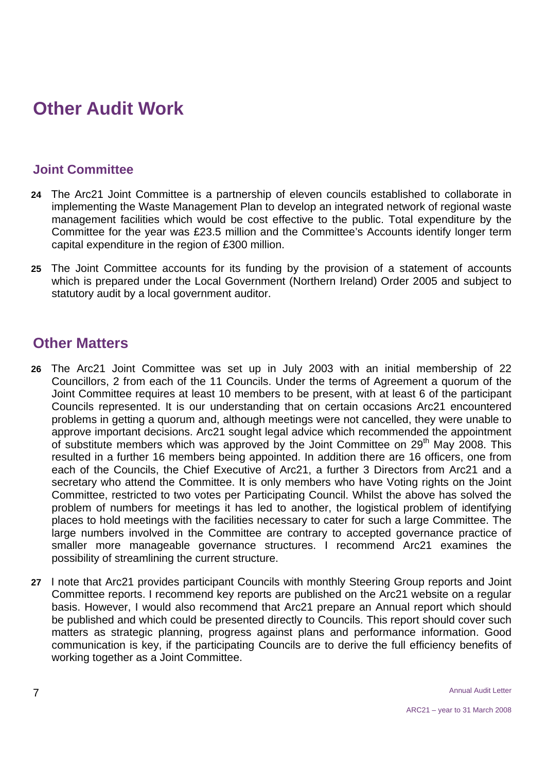# **Other Audit Work**

#### **Joint Committee**

- **24** The Arc21 Joint Committee is a partnership of eleven councils established to collaborate in implementing the Waste Management Plan to develop an integrated network of regional waste management facilities which would be cost effective to the public. Total expenditure by the Committee for the year was £23.5 million and the Committee's Accounts identify longer term capital expenditure in the region of £300 million.
- **25** The Joint Committee accounts for its funding by the provision of a statement of accounts which is prepared under the Local Government (Northern Ireland) Order 2005 and subject to statutory audit by a local government auditor.

#### **Other Matters**

- **26** The Arc21 Joint Committee was set up in July 2003 with an initial membership of 22 Councillors, 2 from each of the 11 Councils. Under the terms of Agreement a quorum of the Joint Committee requires at least 10 members to be present, with at least 6 of the participant Councils represented. It is our understanding that on certain occasions Arc21 encountered problems in getting a quorum and, although meetings were not cancelled, they were unable to approve important decisions. Arc21 sought legal advice which recommended the appointment of substitute members which was approved by the Joint Committee on 29<sup>th</sup> May 2008. This resulted in a further 16 members being appointed. In addition there are 16 officers, one from each of the Councils, the Chief Executive of Arc21, a further 3 Directors from Arc21 and a secretary who attend the Committee. It is only members who have Voting rights on the Joint Committee, restricted to two votes per Participating Council. Whilst the above has solved the problem of numbers for meetings it has led to another, the logistical problem of identifying places to hold meetings with the facilities necessary to cater for such a large Committee. The large numbers involved in the Committee are contrary to accepted governance practice of smaller more manageable governance structures. I recommend Arc21 examines the possibility of streamlining the current structure.
- **27** I note that Arc21 provides participant Councils with monthly Steering Group reports and Joint Committee reports. I recommend key reports are published on the Arc21 website on a regular basis. However, I would also recommend that Arc21 prepare an Annual report which should be published and which could be presented directly to Councils. This report should cover such matters as strategic planning, progress against plans and performance information. Good communication is key, if the participating Councils are to derive the full efficiency benefits of working together as a Joint Committee.